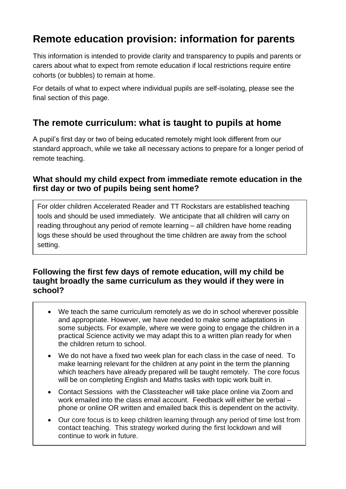# **Remote education provision: information for parents**

This information is intended to provide clarity and transparency to pupils and parents or carers about what to expect from remote education if local restrictions require entire cohorts (or bubbles) to remain at home.

For details of what to expect where individual pupils are self-isolating, please see the final section of this page.

### **The remote curriculum: what is taught to pupils at home**

A pupil's first day or two of being educated remotely might look different from our standard approach, while we take all necessary actions to prepare for a longer period of remote teaching.

#### **What should my child expect from immediate remote education in the first day or two of pupils being sent home?**

For older children Accelerated Reader and TT Rockstars are established teaching tools and should be used immediately. We anticipate that all children will carry on reading throughout any period of remote learning – all children have home reading logs these should be used throughout the time children are away from the school setting.

#### **Following the first few days of remote education, will my child be taught broadly the same curriculum as they would if they were in school?**

- We teach the same curriculum remotely as we do in school wherever possible and appropriate. However, we have needed to make some adaptations in some subjects. For example, where we were going to engage the children in a practical Science activity we may adapt this to a written plan ready for when the children return to school.
- We do not have a fixed two week plan for each class in the case of need. To make learning relevant for the children at any point in the term the planning which teachers have already prepared will be taught remotely. The core focus will be on completing English and Maths tasks with topic work built in.
- Contact Sessions with the Classteacher will take place online via Zoom and work emailed into the class email account. Feedback will either be verbal – phone or online OR written and emailed back this is dependent on the activity.
- Our core focus is to keep children learning through any period of time lost from contact teaching. This strategy worked during the first lockdown and will continue to work in future.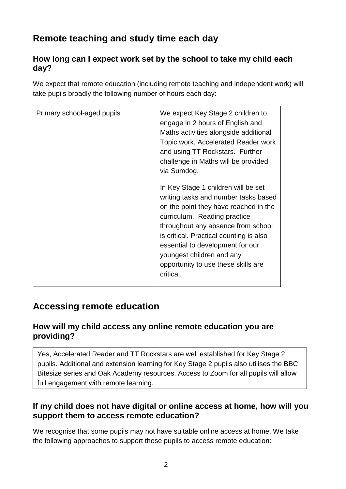# **Remote teaching and study time each day**

### **How long can I expect work set by the school to take my child each day?**

We expect that remote education (including remote teaching and independent work) will take pupils broadly the following number of hours each day:

| Primary school-aged pupils | We expect Key Stage 2 children to<br>engage in 2 hours of English and<br>Maths activities alongside additional<br>Topic work, Accelerated Reader work<br>and using TT Rockstars. Further<br>challenge in Maths will be provided<br>via Sumdog.<br>In Key Stage 1 children will be set<br>writing tasks and number tasks based<br>on the point they have reached in the<br>curriculum. Reading practice<br>throughout any absence from school<br>is critical. Practical counting is also<br>essential to development for our<br>youngest children and any<br>opportunity to use these skills are<br>critical. |
|----------------------------|--------------------------------------------------------------------------------------------------------------------------------------------------------------------------------------------------------------------------------------------------------------------------------------------------------------------------------------------------------------------------------------------------------------------------------------------------------------------------------------------------------------------------------------------------------------------------------------------------------------|
|                            |                                                                                                                                                                                                                                                                                                                                                                                                                                                                                                                                                                                                              |

## **Accessing remote education**

#### **How will my child access any online remote education you are providing?**

Yes, Accelerated Reader and TT Rockstars are well established for Key Stage 2 pupils. Additional and extension learning for Key Stage 2 pupils also utilises the BBC Bitesize series and Oak Academy resources. Access to Zoom for all pupils will allow full engagement with remote learning.

### **If my child does not have digital or online access at home, how will you support them to access remote education?**

We recognise that some pupils may not have suitable online access at home. We take the following approaches to support those pupils to access remote education: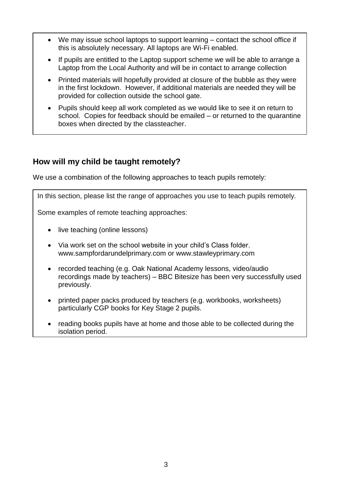- We may issue school laptops to support learning contact the school office if this is absolutely necessary. All laptops are Wi-Fi enabled.
- If pupils are entitled to the Laptop support scheme we will be able to arrange a Laptop from the Local Authority and will be in contact to arrange collection
- Printed materials will hopefully provided at closure of the bubble as they were in the first lockdown. However, if additional materials are needed they will be provided for collection outside the school gate.
- Pupils should keep all work completed as we would like to see it on return to school. Copies for feedback should be emailed – or returned to the quarantine boxes when directed by the classteacher.

#### **How will my child be taught remotely?**

We use a combination of the following approaches to teach pupils remotely:

In this section, please list the range of approaches you use to teach pupils remotely.

Some examples of remote teaching approaches:

- live teaching (online lessons)
- Via work set on the school website in your child's Class folder. [www.sampfordarundelprimary.com](http://www.sampfordarundelprimary.com/) or [www.stawleyprimary.com](http://www.stawleyprimary.com/)
- recorded teaching (e.g. Oak National Academy lessons, video/audio recordings made by teachers) – BBC Bitesize has been very successfully used previously.
- printed paper packs produced by teachers (e.g. workbooks, worksheets) particularly CGP books for Key Stage 2 pupils.
- reading books pupils have at home and those able to be collected during the isolation period.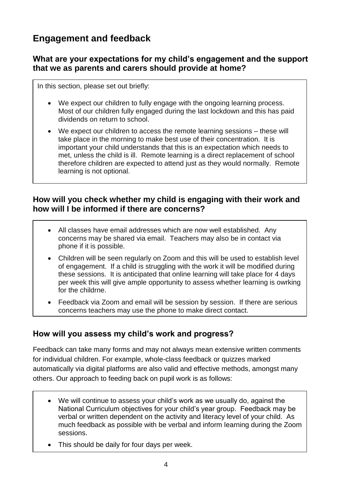## **Engagement and feedback**

#### **What are your expectations for my child's engagement and the support that we as parents and carers should provide at home?**

In this section, please set out briefly:

÷

- We expect our children to fully engage with the ongoing learning process. Most of our children fully engaged during the last lockdown and this has paid dividends on return to school.
- We expect our children to access the remote learning sessions these will take place in the morning to make best use of their concentration. It is important your child understands that this is an expectation which needs to met, unless the child is ill. Remote learning is a direct replacement of school therefore children are expected to attend just as they would normally. Remote learning is not optional.

#### **How will you check whether my child is engaging with their work and how will I be informed if there are concerns?**

- All classes have email addresses which are now well established. Any concerns may be shared via email. Teachers may also be in contact via phone if it is possible.
- Children will be seen regularly on Zoom and this will be used to establish level of engagement. If a child is struggling with the work it will be modified during these sessions. It is anticipated that online learning will take place for 4 days per week this will give ample opportunity to assess whether learning is owrking for the childrne.
- Feedback via Zoom and email will be session by session. If there are serious concerns teachers may use the phone to make direct contact.

### **How will you assess my child's work and progress?**

Feedback can take many forms and may not always mean extensive written comments for individual children. For example, whole-class feedback or quizzes marked automatically via digital platforms are also valid and effective methods, amongst many others. Our approach to feeding back on pupil work is as follows:

- We will continue to assess your child's work as we usually do, against the National Curriculum objectives for your child's year group. Feedback may be verbal or written dependent on the activity and literacy level of your child. As much feedback as possible with be verbal and inform learning during the Zoom sessions.
- This should be daily for four days per week.